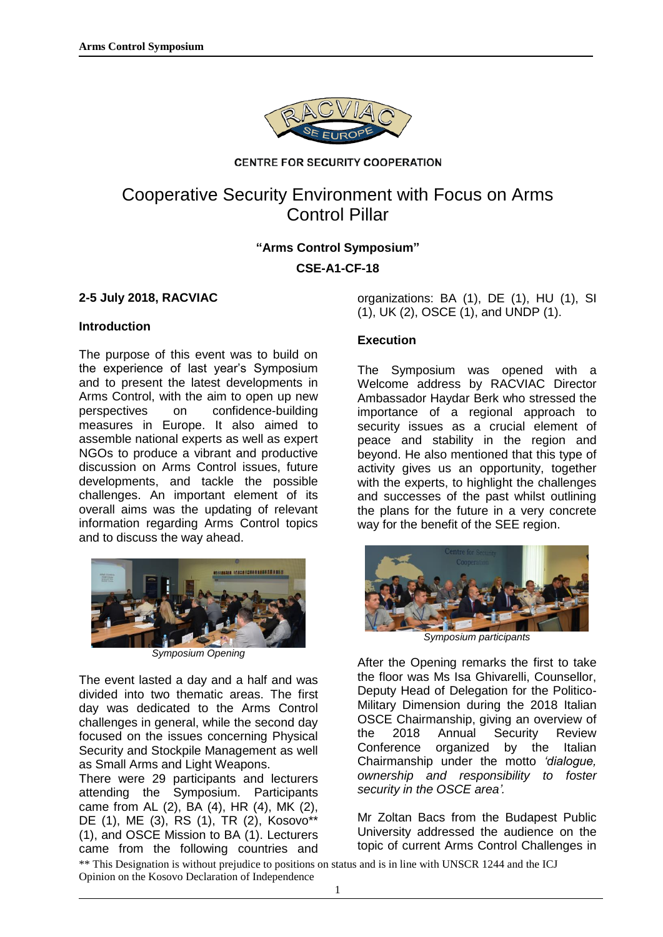

#### **CENTRE FOR SECURITY COOPERATION**

# Cooperative Security Environment with Focus on Arms Control Pillar

## **"Arms Control Symposium"**

**CSE-A1-CF-18**

## **2-5 July 2018, RACVIAC**

#### **Introduction**

The purpose of this event was to build on the experience of last year's Symposium and to present the latest developments in Arms Control, with the aim to open up new perspectives on confidence-building measures in Europe. It also aimed to assemble national experts as well as expert NGOs to produce a vibrant and productive discussion on Arms Control issues, future developments, and tackle the possible challenges. An important element of its overall aims was the updating of relevant information regarding Arms Control topics and to discuss the way ahead.



*Symposium Opening* 

The event lasted a day and a half and was divided into two thematic areas. The first day was dedicated to the Arms Control challenges in general, while the second day focused on the issues concerning Physical Security and Stockpile Management as well as Small Arms and Light Weapons.

There were 29 participants and lecturers attending the Symposium. Participants came from AL (2), BA (4), HR (4), MK (2), DE (1), ME (3), RS (1), TR (2), Kosovo\*\* (1), and OSCE Mission to BA (1). Lecturers came from the following countries and

organizations: BA (1), DE (1), HU (1), SI (1), UK (2), OSCE (1), and UNDP (1).

## **Execution**

The Symposium was opened with a Welcome address by RACVIAC Director Ambassador Haydar Berk who stressed the importance of a regional approach to security issues as a crucial element of peace and stability in the region and beyond. He also mentioned that this type of activity gives us an opportunity, together with the experts, to highlight the challenges and successes of the past whilst outlining the plans for the future in a very concrete way for the benefit of the SEE region.



*Symposium participants*

After the Opening remarks the first to take the floor was Ms Isa Ghivarelli, Counsellor, Deputy Head of Delegation for the Politico-Military Dimension during the 2018 Italian OSCE Chairmanship, giving an overview of the 2018 Annual Security Review Conference organized by the Italian Chairmanship under the motto *'dialogue, ownership and responsibility to foster security in the OSCE area'.*

Mr Zoltan Bacs from the Budapest Public University addressed the audience on the topic of current Arms Control Challenges in

\*\* This Designation is without prejudice to positions on status and is in line with UNSCR 1244 and the ICJ Opinion on the Kosovo Declaration of Independence